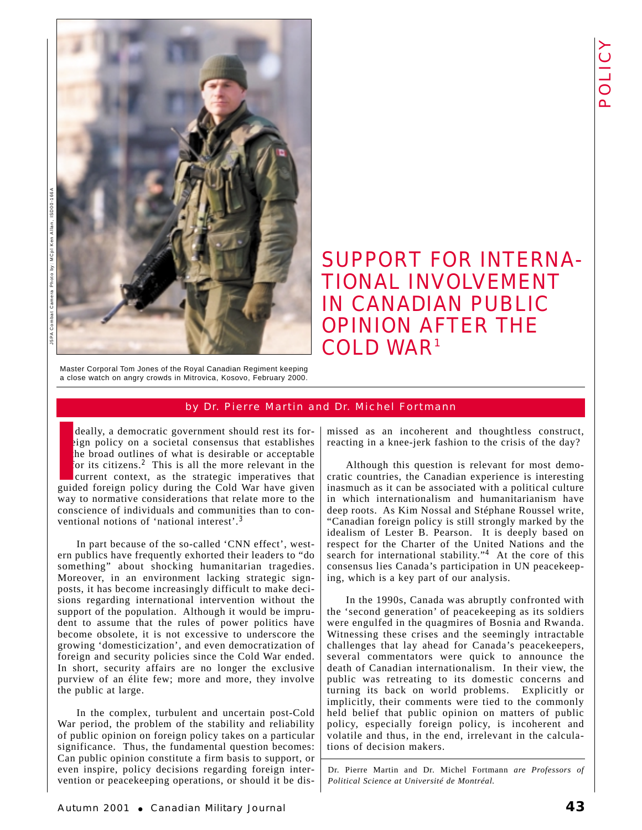

# SUPPORT FOR INTERNA-TIONAL INVOLVEMENT IN CANADIAN PUBLIC OPINION AFTER THE COLD WAR 1

Master Corporal Tom Jones of the Royal Canadian Regiment keeping a close watch on angry crowds in Mitrovica, Kosovo, February 2000.

## by Dr. Pierre Martin and Dr. Michel Fortmann

deally, a democratic government should rest its foreign policy on a societal consensus that establishes the broad outlines of what is desirable or acceptable for its citizens.<sup>2</sup> This is all the more relevant in the current context, as the strategic imperatives that deally, a democratic government should rest its for-<br>eign policy on a societal consensus that establishes<br>the broad outlines of what is desirable or acceptable<br>for its citizens.<sup>2</sup> This is all the more relevant in the<br>curr way to normative considerations that relate more to the conscience of individuals and communities than to conventional notions of 'national interest'.<sup>3</sup>

In part because of the so-called 'CNN effect', western publics have frequently exhorted their leaders to "do something" about shocking humanitarian tragedies. Moreover, in an environment lacking strategic signposts, it has become increasingly difficult to make decisions regarding international intervention without the support of the population. Although it would be imprudent to assume that the rules of power politics have become obsolete, it is not excessive to underscore the growing 'domesticization', and even democratization of foreign and security policies since the Cold War ended. In short, security affairs are no longer the exclusive purview of an élite few; more and more, they involve the public at large.

In the complex, turbulent and uncertain post-Cold War period, the problem of the stability and reliability of public opinion on foreign policy takes on a particular significance. Thus, the fundamental question becomes: Can public opinion constitute a firm basis to support, or even inspire, policy decisions regarding foreign intervention or peacekeeping operations, or should it be dismissed as an incoherent and thoughtless construct, reacting in a knee-jerk fashion to the crisis of the day?

Although this question is relevant for most democratic countries, the Canadian experience is interesting inasmuch as it can be associated with a political culture in which internationalism and humanitarianism have deep roots. As Kim Nossal and Stéphane Roussel write, "Canadian foreign policy is still strongly marked by the idealism of Lester B. Pearson. It is deeply based on respect for the Charter of the United Nations and the search for international stability."<sup>4</sup> At the core of this consensus lies Canada's participation in UN peacekeeping, which is a key part of our analysis.

In the 1990s, Canada was abruptly confronted with the 'second generation' of peacekeeping as its soldiers were engulfed in the quagmires of Bosnia and Rwanda. Witnessing these crises and the seemingly intractable challenges that lay ahead for Canada's peacekeepers, several commentators were quick to announce the death of Canadian internationalism. In their view, the public was retreating to its domestic concerns and turning its back on world problems. Explicitly or implicitly, their comments were tied to the commonly held belief that public opinion on matters of public policy, especially foreign policy, is incoherent and volatile and thus, in the end, irrelevant in the calculations of decision makers.

Dr. Pierre Martin and Dr. Michel Fortmann *are Professors of Political Science at Université de Montréal.*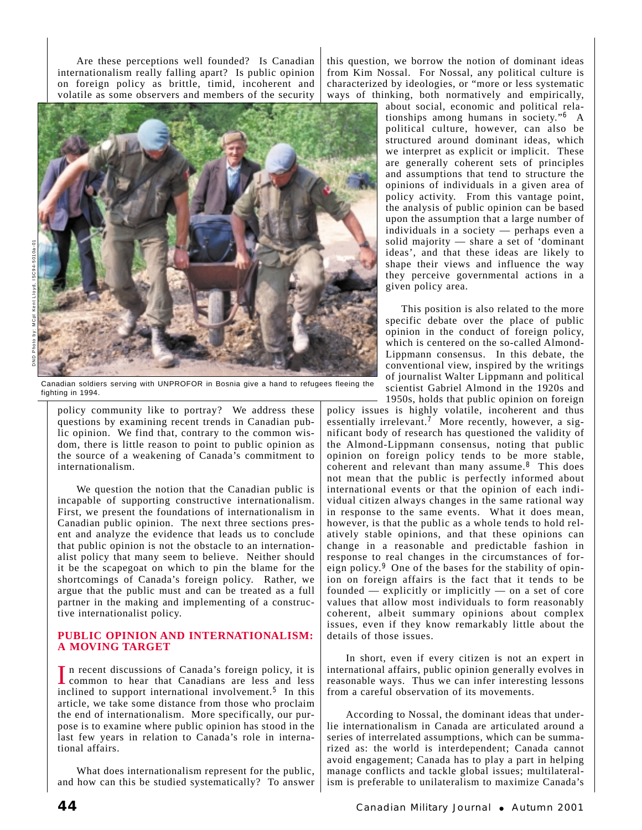Are these perceptions well founded? Is Canadian internationalism really falling apart? Is public opinion on foreign policy as brittle, timid, incoherent and volatile as some observers and members of the security



Canadian soldiers serving with UNPROFOR in Bosnia give a hand to refugees fleeing the fighting in 1994.

policy community like to portray? We address these questions by examining recent trends in Canadian public opinion. We find that, contrary to the common wisdom, there is little reason to point to public opinion as the source of a weakening of Canada's commitment to internationalism.

We question the notion that the Canadian public is incapable of supporting constructive internationalism. First, we present the foundations of internationalism in Canadian public opinion. The next three sections present and analyze the evidence that leads us to conclude that public opinion is not the obstacle to an internationalist policy that many seem to believe. Neither should it be the scapegoat on which to pin the blame for the shortcomings of Canada's foreign policy. Rather, we argue that the public must and can be treated as a full partner in the making and implementing of a constructive internationalist policy.

#### **PUBLIC OPINION AND INTERNATIONALISM: A MOVING TARGET**

In recent discussions of Canada's foreign policy, it is<br>common to hear that Canadians are less and less inclined to support international involvement.<sup>5</sup> In this article, we take some distance from those who proclaim the end of internationalism. More specifically, our purpose is to examine where public opinion has stood in the last few years in relation to Canada's role in international affairs.

What does internationalism represent for the public, and how can this be studied systematically? To answer this question, we borrow the notion of dominant ideas from Kim Nossal. For Nossal, any political culture is characterized by ideologies, or "more or less systematic ways of thinking, both normatively and empirically,

about social, economic and political relationships among humans in society."<sup>6</sup> A political culture, however, can also be structured around dominant ideas, which we interpret as explicit or implicit. These are generally coherent sets of principles and assumptions that tend to structure the opinions of individuals in a given area of policy activity. From this vantage point, the analysis of public opinion can be based upon the assumption that a large number of individuals in a society — perhaps even a solid majority — share a set of 'dominant ideas', and that these ideas are likely to shape their views and influence the way they perceive governmental actions in a given policy area.

This position is also related to the more specific debate over the place of public opinion in the conduct of foreign policy, which is centered on the so-called Almond-Lippmann consensus. In this debate, the conventional view, inspired by the writings of journalist Walter Lippmann and political scientist Gabriel Almond in the 1920s and 1950s, holds that public opinion on foreign

policy issues is highly volatile, incoherent and thus essentially irrelevant.<sup>7</sup> More recently, however, a significant body of research has questioned the validity of the Almond-Lippmann consensus, noting that public opinion on foreign policy tends to be more stable, coherent and relevant than many assume.<sup>8</sup> This does not mean that the public is perfectly informed about international events or that the opinion of each individual citizen always changes in the same rational way in response to the same events. What it does mean, however, is that the public as a whole tends to hold relatively stable opinions, and that these opinions can change in a reasonable and predictable fashion in response to real changes in the circumstances of foreign policy.<sup>9</sup> One of the bases for the stability of opinion on foreign affairs is the fact that it tends to be founded  $-$  explicitly or implicitly  $-$  on a set of core values that allow most individuals to form reasonably coherent, albeit summary opinions about complex issues, even if they know remarkably little about the details of those issues.

In short, even if every citizen is not an expert in international affairs, public opinion generally evolves in reasonable ways. Thus we can infer interesting lessons from a careful observation of its movements.

According to Nossal, the dominant ideas that underlie internationalism in Canada are articulated around a series of interrelated assumptions, which can be summarized as: the world is interdependent; Canada cannot avoid engagement; Canada has to play a part in helping manage conflicts and tackle global issues; multilateralism is preferable to unilateralism to maximize Canada's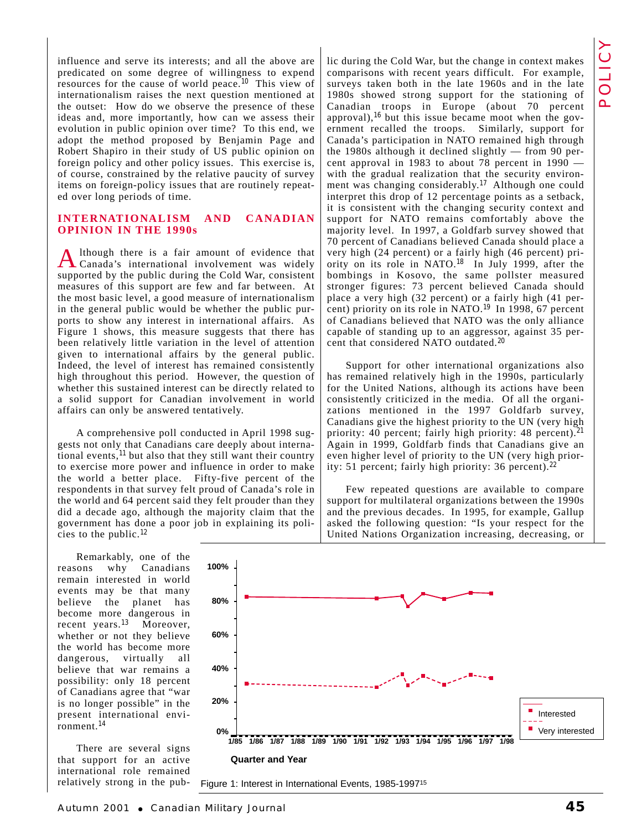influence and serve its interests; and all the above are predicated on some degree of willingness to expend resources for the cause of world peace.<sup>10</sup> This view of internationalism raises the next question mentioned at the outset: How do we observe the presence of these ideas and, more importantly, how can we assess their evolution in public opinion over time? To this end, we adopt the method proposed by Benjamin Page and Robert Shapiro in their study of US public opinion on foreign policy and other policy issues. This exercise is, of course, constrained by the relative paucity of survey items on foreign-policy issues that are routinely repeated over long periods of time.

#### **INTERNATIONALISM AND CANADIAN OPINION IN THE 1990s**

Although there is a fair amount of evidence that Canada's international involvement was widely supported by the public during the Cold War, consistent measures of this support are few and far between. At the most basic level, a good measure of internationalism in the general public would be whether the public purports to show any interest in international affairs. As Figure 1 shows, this measure suggests that there has been relatively little variation in the level of attention given to international affairs by the general public. Indeed, the level of interest has remained consistently high throughout this period. However, the question of whether this sustained interest can be directly related to a solid support for Canadian involvement in world affairs can only be answered tentatively.

A comprehensive poll conducted in April 1998 suggests not only that Canadians care deeply about international events,  $11$  but also that they still want their country to exercise more power and influence in order to make the world a better place. Fifty-five percent of the respondents in that survey felt proud of Canada's role in the world and 64 percent said they felt prouder than they did a decade ago, although the majority claim that the government has done a poor job in explaining its policies to the public.<sup>12</sup>

Remarkably, one of the reasons why Canadians remain interested in world events may be that many believe the planet has become more dangerous in recent years.<sup>13</sup> Moreover, whether or not they believe the world has become more dangerous, virtually all believe that war remains a possibility: only 18 percent of Canadians agree that "war is no longer possible" in the present international environment.<sup>14</sup>

There are several signs that support for an active international role remained relatively strong in the public during the Cold War, but the change in context makes comparisons with recent years difficult. For example, surveys taken both in the late 1960s and in the late 1980s showed strong support for the stationing of Canadian troops in Europe (about 70 percent approval), $^{16}$  but this issue became moot when the government recalled the troops. Similarly, support for Canada's participation in NATO remained high through the 1980s although it declined slightly — from 90 percent approval in 1983 to about 78 percent in 1990 with the gradual realization that the security environment was changing considerably.<sup>17</sup> Although one could interpret this drop of 12 percentage points as a setback, it is consistent with the changing security context and support for NATO remains comfortably above the majority level. In 1997, a Goldfarb survey showed that 70 percent of Canadians believed Canada should place a very high (24 percent) or a fairly high (46 percent) priority on its role in NATO.<sup>18</sup> In July 1999, after the bombings in Kosovo, the same pollster measured stronger figures: 73 percent believed Canada should place a very high (32 percent) or a fairly high (41 percent) priority on its role in NATO.<sup>19</sup> In 1998, 67 percent of Canadians believed that NATO was the only alliance capable of standing up to an aggressor, against 35 percent that considered NATO outdated.<sup>20</sup>

Support for other international organizations also has remained relatively high in the 1990s, particularly for the United Nations, although its actions have been consistently criticized in the media. Of all the organizations mentioned in the 1997 Goldfarb survey, Canadians give the highest priority to the UN (very high priority: 40 percent; fairly high priority: 48 percent).<sup>21</sup> Again in 1999, Goldfarb finds that Canadians give an even higher level of priority to the UN (very high priority: 51 percent; fairly high priority: 36 percent).<sup>22</sup>

Few repeated questions are available to compare support for multilateral organizations between the 1990s and the previous decades. In 1995, for example, Gallup asked the following question: "Is your respect for the United Nations Organization increasing, decreasing, or

**100% 80% 60% 40% 20%** П Interested **Very interested 0% 1/85 1/91 1/92 1/93 1/94 1/95 1/96 1/97 1/98 1/86 1/87 1/88 1/89 1/90 Quarter and Year**

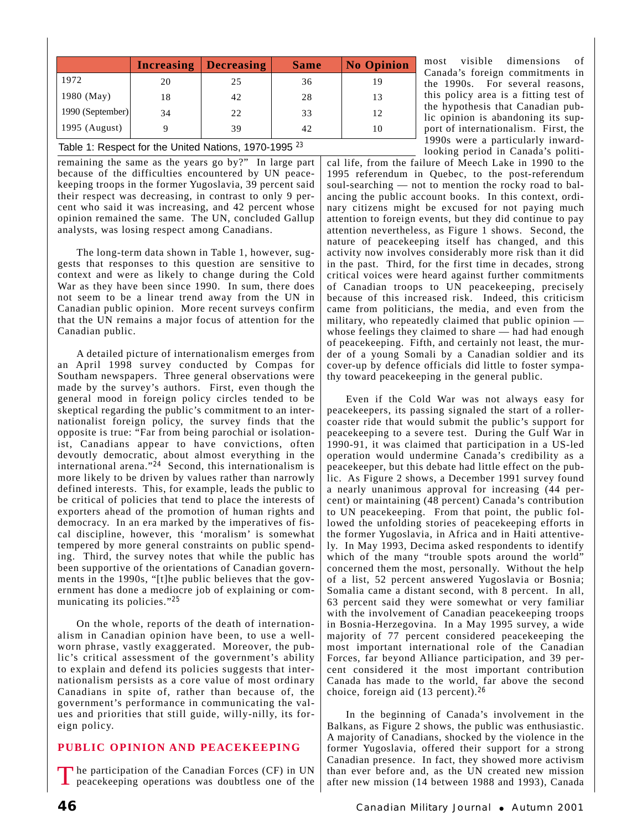|                                                                  | <b>Increasing</b> | <b>Decreasing</b> | <b>Same</b> | <b>No Opinion</b> |
|------------------------------------------------------------------|-------------------|-------------------|-------------|-------------------|
| 1972                                                             | 20                | 25                | 36          | 19                |
| 1980 (May)                                                       | 18                | 42                | 28          | 13                |
| 1990 (September)                                                 | 34                | 22                | 33          | 12                |
| 1995 (August)                                                    |                   | 39                | 42          | 10                |
| Table 1: Respect for the United Nations, 1970-1995 <sup>23</sup> |                   |                   |             |                   |

remaining the same as the years go by?" In large part because of the difficulties encountered by UN peacekeeping troops in the former Yugoslavia, 39 percent said their respect was decreasing, in contrast to only 9 percent who said it was increasing, and 42 percent whose opinion remained the same. The UN, concluded Gallup analysts, was losing respect among Canadians.

The long-term data shown in Table 1, however, suggests that responses to this question are sensitive to context and were as likely to change during the Cold War as they have been since 1990. In sum, there does not seem to be a linear trend away from the UN in Canadian public opinion. More recent surveys confirm that the UN remains a major focus of attention for the Canadian public.

A detailed picture of internationalism emerges from an April 1998 survey conducted by Compas for Southam newspapers. Three general observations were made by the survey's authors. First, even though the general mood in foreign policy circles tended to be skeptical regarding the public's commitment to an internationalist foreign policy, the survey finds that the opposite is true: "Far from being parochial or isolationist, Canadians appear to have convictions, often devoutly democratic, about almost everything in the international arena." $24$  Second, this internationalism is more likely to be driven by values rather than narrowly defined interests. This, for example, leads the public to be critical of policies that tend to place the interests of exporters ahead of the promotion of human rights and democracy. In an era marked by the imperatives of fiscal discipline, however, this 'moralism' is somewhat tempered by more general constraints on public spending. Third, the survey notes that while the public has been supportive of the orientations of Canadian governments in the 1990s, "[t]he public believes that the government has done a mediocre job of explaining or communicating its policies."<sup>25</sup>

On the whole, reports of the death of internationalism in Canadian opinion have been, to use a wellworn phrase, vastly exaggerated. Moreover, the public's critical assessment of the government's ability to explain and defend its policies suggests that internationalism persists as a core value of most ordinary Canadians in spite of, rather than because of, the government's performance in communicating the values and priorities that still guide, willy-nilly, its foreign policy.

## **PUBLIC OPINION AND PEACEKEEPING**

The participation of the Canadian Forces (CF) in UN peacekeeping operations was doubtless one of the

most visible dimensions of Canada's foreign commitments in the 1990s. For several reasons, this policy area is a fitting test of the hypothesis that Canadian public opinion is abandoning its support of internationalism. First, the 1990s were a particularly inwardlooking period in Canada's politi-

cal life, from the failure of Meech Lake in 1990 to the 1995 referendum in Quebec, to the post-referendum soul-searching — not to mention the rocky road to balancing the public account books. In this context, ordinary citizens might be excused for not paying much attention to foreign events, but they did continue to pay attention nevertheless, as Figure 1 shows. Second, the nature of peacekeeping itself has changed, and this activity now involves considerably more risk than it did in the past. Third, for the first time in decades, strong critical voices were heard against further commitments of Canadian troops to UN peacekeeping, precisely because of this increased risk. Indeed, this criticism came from politicians, the media, and even from the military, who repeatedly claimed that public opinion whose feelings they claimed to share — had had enough of peacekeeping. Fifth, and certainly not least, the murder of a young Somali by a Canadian soldier and its cover-up by defence officials did little to foster sympathy toward peacekeeping in the general public.

Even if the Cold War was not always easy for peacekeepers, its passing signaled the start of a rollercoaster ride that would submit the public's support for peacekeeping to a severe test. During the Gulf War in 1990-91, it was claimed that participation in a US-led operation would undermine Canada's credibility as a peacekeeper, but this debate had little effect on the public. As Figure 2 shows, a December 1991 survey found a nearly unanimous approval for increasing (44 percent) or maintaining (48 percent) Canada's contribution to UN peacekeeping. From that point, the public followed the unfolding stories of peacekeeping efforts in the former Yugoslavia, in Africa and in Haiti attentively. In May 1993, Decima asked respondents to identify which of the many "trouble spots around the world" concerned them the most, personally. Without the help of a list, 52 percent answered Yugoslavia or Bosnia; Somalia came a distant second, with 8 percent. In all, 63 percent said they were somewhat or very familiar with the involvement of Canadian peacekeeping troops in Bosnia-Herzegovina. In a May 1995 survey, a wide majority of 77 percent considered peacekeeping the most important international role of the Canadian Forces, far beyond Alliance participation, and 39 percent considered it the most important contribution Canada has made to the world, far above the second choice, foreign aid (13 percent).<sup>26</sup>

In the beginning of Canada's involvement in the Balkans, as Figure 2 shows, the public was enthusiastic. A majority of Canadians, shocked by the violence in the former Yugoslavia, offered their support for a strong Canadian presence. In fact, they showed more activism than ever before and, as the UN created new mission after new mission (14 between 1988 and 1993), Canada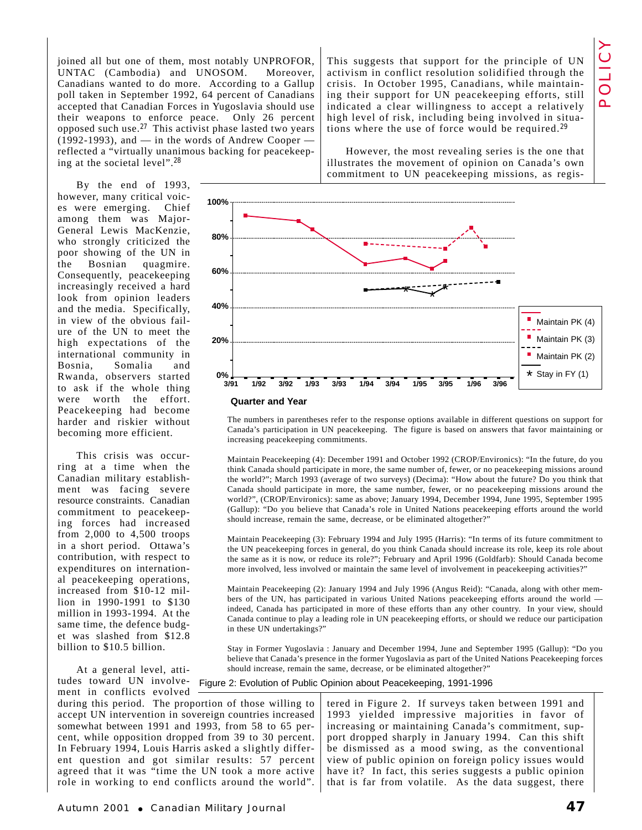joined all but one of them, most notably UNPROFOR, UNTAC (Cambodia) and UNOSOM. Moreover, Canadians wanted to do more. According to a Gallup poll taken in September 1992, 64 percent of Canadians accepted that Canadian Forces in Yugoslavia should use their weapons to enforce peace. Only 26 percent opposed such use.<sup>27</sup> This activist phase lasted two years  $(1992-1993)$ , and — in the words of Andrew Cooper reflected a "virtually unanimous backing for peacekeeping at the societal level".<sup>28</sup>

By the end of 1993, however, many critical voices were emerging. Chief among them was Major-General Lewis MacKenzie, who strongly criticized the poor showing of the UN in the Bosnian quagmire. Consequently, peacekeeping increasingly received a hard look from opinion leaders and the media. Specifically, in view of the obvious failure of the UN to meet the high expectations of the international community in Bosnia, Somalia and Rwanda, observers started to ask if the whole thing were worth the effort. Peacekeeping had become harder and riskier without becoming more efficient.

This crisis was occurring at a time when the Canadian military establishment was facing severe resource constraints. Canadian commitment to peacekeeping forces had increased from 2,000 to 4,500 troops in a short period. Ottawa's contribution, with respect to expenditures on international peacekeeping operations, increased from \$10-12 million in 1990-1991 to \$130 million in 1993-1994. At the same time, the defence budget was slashed from \$12.8 billion to \$10.5 billion.

At a general level, attiment in conflicts evolved

during this period. The proportion of those willing to accept UN intervention in sovereign countries increased somewhat between 1991 and 1993, from 58 to 65 percent, while opposition dropped from 39 to 30 percent. In February 1994, Louis Harris asked a slightly different question and got similar results: 57 percent agreed that it was "time the UN took a more active role in working to end conflicts around the world".

This suggests that support for the principle of UN activism in conflict resolution solidified through the crisis. In October 1995, Canadians, while maintaining their support for UN peacekeeping efforts, still indicated a clear willingness to accept a relatively high level of risk, including being involved in situations where the use of force would be required.<sup>29</sup>

However, the most revealing series is the one that illustrates the movement of opinion on Canada's own commitment to UN peacekeeping missions, as regis-



The numbers in parentheses refer to the response options available in different questions on support for Canada's participation in UN peacekeeping. The figure is based on answers that favor maintaining or increasing peacekeeping commitments.

Maintain Peacekeeping (4): December 1991 and October 1992 (CROP/Environics): "In the future, do you think Canada should participate in more, the same number of, fewer, or no peacekeeping missions around the world?"; March 1993 (average of two surveys) (Decima): "How about the future? Do you think that Canada should participate in more, the same number, fewer, or no peacekeeping missions around the world?", (CROP/Environics): same as above; January 1994, December 1994, June 1995, September 1995 (Gallup): "Do you believe that Canada's role in United Nations peacekeeping efforts around the world should increase, remain the same, decrease, or be eliminated altogether?"

Maintain Peacekeeping (3): February 1994 and July 1995 (Harris): "In terms of its future commitment to the UN peacekeeping forces in general, do you think Canada should increase its role, keep its role about the same as it is now, or reduce its role?"; February and April 1996 (Goldfarb): Should Canada become more involved, less involved or maintain the same level of involvement in peacekeeping activities?"

Maintain Peacekeeping (2): January 1994 and July 1996 (Angus Reid): "Canada, along with other members of the UN, has participated in various United Nations peacekeeping efforts around the world indeed, Canada has participated in more of these efforts than any other country. In your view, should Canada continue to play a leading role in UN peacekeeping efforts, or should we reduce our participation in these UN undertakings?"

Stay in Former Yugoslavia : January and December 1994, June and September 1995 (Gallup): "Do you believe that Canada's presence in the former Yugoslavia as part of the United Nations Peacekeeping forces should increase, remain the same, decrease, or be eliminated altogether?"

tudes toward UN involve-Figure 2: Evolution of Public Opinion about Peacekeeping, 1991-1996

tered in Figure 2. If surveys taken between 1991 and 1993 yielded impressive majorities in favor of increasing or maintaining Canada's commitment, support dropped sharply in January 1994. Can this shift be dismissed as a mood swing, as the conventional view of public opinion on foreign policy issues would have it? In fact, this series suggests a public opinion that is far from volatile. As the data suggest, there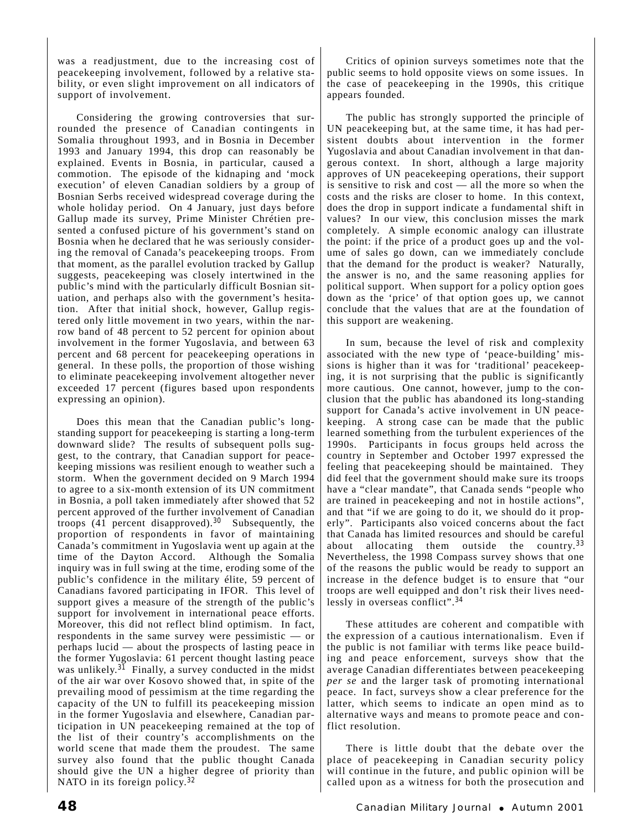was a readjustment, due to the increasing cost of peacekeeping involvement, followed by a relative stability, or even slight improvement on all indicators of support of involvement.

Considering the growing controversies that surrounded the presence of Canadian contingents in Somalia throughout 1993, and in Bosnia in December 1993 and January 1994, this drop can reasonably be explained. Events in Bosnia, in particular, caused a commotion. The episode of the kidnaping and 'mock execution' of eleven Canadian soldiers by a group of Bosnian Serbs received widespread coverage during the whole holiday period. On 4 January, just days before Gallup made its survey, Prime Minister Chrétien presented a confused picture of his government's stand on Bosnia when he declared that he was seriously considering the removal of Canada's peacekeeping troops. From that moment, as the parallel evolution tracked by Gallup suggests, peacekeeping was closely intertwined in the public's mind with the particularly difficult Bosnian situation, and perhaps also with the government's hesitation. After that initial shock, however, Gallup registered only little movement in two years, within the narrow band of 48 percent to 52 percent for opinion about involvement in the former Yugoslavia, and between 63 percent and 68 percent for peacekeeping operations in general. In these polls, the proportion of those wishing to eliminate peacekeeping involvement altogether never exceeded 17 percent (figures based upon respondents expressing an opinion).

Does this mean that the Canadian public's longstanding support for peacekeeping is starting a long-term downward slide? The results of subsequent polls suggest, to the contrary, that Canadian support for peacekeeping missions was resilient enough to weather such a storm. When the government decided on 9 March 1994 to agree to a six-month extension of its UN commitment in Bosnia, a poll taken immediately after showed that 52 percent approved of the further involvement of Canadian troops  $(41$  percent disapproved).<sup>30</sup> Subsequently, the proportion of respondents in favor of maintaining Canada's commitment in Yugoslavia went up again at the time of the Dayton Accord. Although the Somalia inquiry was in full swing at the time, eroding some of the public's confidence in the military élite, 59 percent of Canadians favored participating in IFOR. This level of support gives a measure of the strength of the public's support for involvement in international peace efforts. Moreover, this did not reflect blind optimism. In fact, respondents in the same survey were pessimistic — or perhaps lucid — about the prospects of lasting peace in the former Yugoslavia: 61 percent thought lasting peace was unlikely.<sup>31</sup> Finally, a survey conducted in the midst of the air war over Kosovo showed that, in spite of the prevailing mood of pessimism at the time regarding the capacity of the UN to fulfill its peacekeeping mission in the former Yugoslavia and elsewhere, Canadian participation in UN peacekeeping remained at the top of the list of their country's accomplishments on the world scene that made them the proudest. The same survey also found that the public thought Canada should give the UN a higher degree of priority than NATO in its foreign policy.<sup>32</sup>

Critics of opinion surveys sometimes note that the public seems to hold opposite views on some issues. In the case of peacekeeping in the 1990s, this critique appears founded.

The public has strongly supported the principle of UN peacekeeping but, at the same time, it has had persistent doubts about intervention in the former Yugoslavia and about Canadian involvement in that dangerous context. In short, although a large majority approves of UN peacekeeping operations, their support is sensitive to risk and cost — all the more so when the costs and the risks are closer to home. In this context, does the drop in support indicate a fundamental shift in values? In our view, this conclusion misses the mark completely. A simple economic analogy can illustrate the point: if the price of a product goes up and the volume of sales go down, can we immediately conclude that the demand for the product is weaker? Naturally, the answer is no, and the same reasoning applies for political support. When support for a policy option goes down as the 'price' of that option goes up, we cannot conclude that the values that are at the foundation of this support are weakening.

In sum, because the level of risk and complexity associated with the new type of 'peace-building' missions is higher than it was for 'traditional' peacekeeping, it is not surprising that the public is significantly more cautious. One cannot, however, jump to the conclusion that the public has abandoned its long-standing support for Canada's active involvement in UN peacekeeping. A strong case can be made that the public learned something from the turbulent experiences of the 1990s. Participants in focus groups held across the country in September and October 1997 expressed the feeling that peacekeeping should be maintained. They did feel that the government should make sure its troops have a "clear mandate", that Canada sends "people who are trained in peacekeeping and not in hostile actions", and that "if we are going to do it, we should do it properly". Participants also voiced concerns about the fact that Canada has limited resources and should be careful about allocating them outside the country.<sup>33</sup> Nevertheless, the 1998 Compass survey shows that one of the reasons the public would be ready to support an increase in the defence budget is to ensure that "our troops are well equipped and don't risk their lives needlessly in overseas conflict".<sup>34</sup>

These attitudes are coherent and compatible with the expression of a cautious internationalism. Even if the public is not familiar with terms like peace building and peace enforcement, surveys show that the average Canadian differentiates between peacekeeping *per se* and the larger task of promoting international peace. In fact, surveys show a clear preference for the latter, which seems to indicate an open mind as to alternative ways and means to promote peace and conflict resolution.

There is little doubt that the debate over the place of peacekeeping in Canadian security policy will continue in the future, and public opinion will be called upon as a witness for both the prosecution and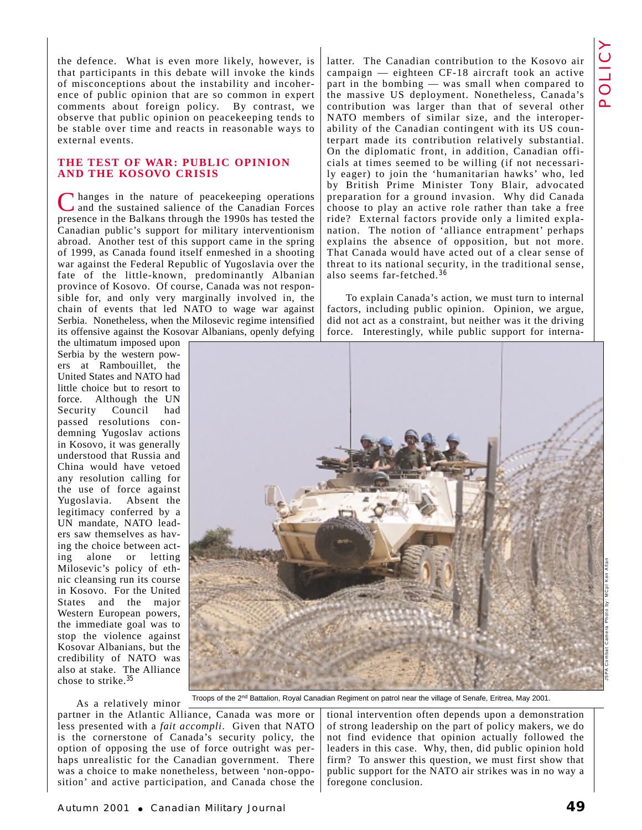the defence. What is even more likely, however, is that participants in this debate will invoke the kinds of misconceptions about the instability and incoherence of public opinion that are so common in expert comments about foreign policy. By contrast, we observe that public opinion on peacekeeping tends to be stable over time and reacts in reasonable ways to external events.

### **THE TEST OF WAR: PUBLIC OPINION AND THE KOSOVO CRISIS**

I hanges in the nature of peacekeeping operations and the sustained salience of the Canadian Forces presence in the Balkans through the 1990s has tested the Canadian public's support for military interventionism abroad. Another test of this support came in the spring of 1999, as Canada found itself enmeshed in a shooting war against the Federal Republic of Yugoslavia over the fate of the little-known, predominantly Albanian province of Kosovo. Of course, Canada was not responsible for, and only very marginally involved in, the chain of events that led NATO to wage war against Serbia. Nonetheless, when the Milosevic regime intensified its offensive against the Kosovar Albanians, openly defying

the ultimatum imposed upon Serbia by the western powers at Rambouillet, the United States and NATO had little choice but to resort to force. Although the UN Security Council had passed resolutions condemning Yugoslav actions in Kosovo, it was generally understood that Russia and China would have vetoed any resolution calling for the use of force against Yugoslavia. Absent the legitimacy conferred by a UN mandate, NATO leaders saw themselves as having the choice between acting alone or letting Milosevic's policy of ethnic cleansing run its course in Kosovo. For the United States and the major Western European powers, the immediate goal was to stop the violence against Kosovar Albanians, but the credibility of NATO was also at stake. The Alliance chose to strike.<sup>35</sup>

latter. The Canadian contribution to the Kosovo air campaign — eighteen CF-18 aircraft took an active part in the bombing — was small when compared to the massive US deployment. Nonetheless, Canada's contribution was larger than that of several other NATO members of similar size, and the interoperability of the Canadian contingent with its US counterpart made its contribution relatively substantial. On the diplomatic front, in addition, Canadian officials at times seemed to be willing (if not necessarily eager) to join the 'humanitarian hawks' who, led by British Prime Minister Tony Blair, advocated preparation for a ground invasion. Why did Canada choose to play an active role rather than take a free ride? External factors provide only a limited explanation. The notion of 'alliance entrapment' perhaps explains the absence of opposition, but not more. That Canada would have acted out of a clear sense of threat to its national security, in the traditional sense, also seems far-fetched.<sup>36</sup>

To explain Canada's action, we must turn to internal factors, including public opinion. Opinion, we argue, did not act as a constraint, but neither was it the driving force. Interestingly, while public support for interna-



As a relatively minor partner in the Atlantic Alliance, Canada was more or less presented with a *fait accompli*. Given that NATO is the cornerstone of Canada's security policy, the option of opposing the use of force outright was perhaps unrealistic for the Canadian government. There was a choice to make nonetheless, between 'non-opposition' and active participation, and Canada chose the

tional intervention often depends upon a demonstration of strong leadership on the part of policy makers, we do not find evidence that opinion actually followed the leaders in this case. Why, then, did public opinion hold firm? To answer this question, we must first show that public support for the NATO air strikes was in no way a foregone conclusion.

J5PA Combat Camera Photo by: MCpl Ken Allan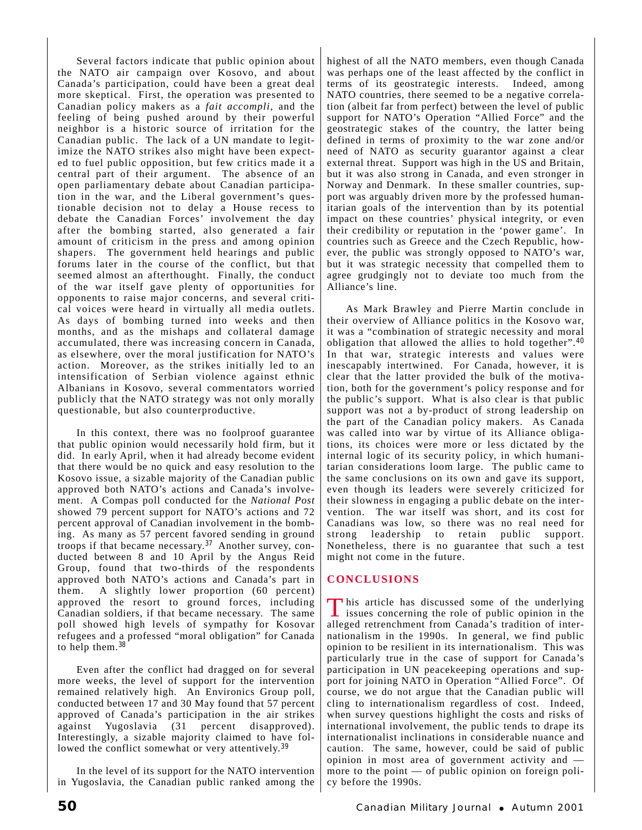Several factors indicate that public opinion about the NATO air campaign over Kosovo, and about Canada's participation, could have been a great deal more skeptical. First, the operation was presented to Canadian policy makers as a *fait accompli*, and the feeling of being pushed around by their powerful neighbor is a historic source of irritation for the Canadian public. The lack of a UN mandate to legitimize the NATO strikes also might have been expected to fuel public opposition, but few critics made it a central part of their argument. The absence of an open parliamentary debate about Canadian participation in the war, and the Liberal government's questionable decision not to delay a House recess to debate the Canadian Forces' involvement the day after the bombing started, also generated a fair amount of criticism in the press and among opinion shapers. The government held hearings and public forums later in the course of the conflict, but that seemed almost an afterthought. Finally, the conduct of the war itself gave plenty of opportunities for opponents to raise major concerns, and several critical voices were heard in virtually all media outlets. As days of bombing turned into weeks and then months, and as the mishaps and collateral damage accumulated, there was increasing concern in Canada, as elsewhere, over the moral justification for NATO's action. Moreover, as the strikes initially led to an intensification of Serbian violence against ethnic Albanians in Kosovo, several commentators worried publicly that the NATO strategy was not only morally questionable, but also counterproductive.

In this context, there was no foolproof guarantee that public opinion would necessarily hold firm, but it did. In early April, when it had already become evident that there would be no quick and easy resolution to the Kosovo issue, a sizable majority of the Canadian public approved both NATO's actions and Canada's involvement. A Compas poll conducted for the *National Post* showed 79 percent support for NATO's actions and 72 percent approval of Canadian involvement in the bombing. As many as 57 percent favored sending in ground troops if that became necessary.<sup>37</sup> Another survey, conducted between 8 and 10 April by the Angus Reid Group, found that two-thirds of the respondents approved both NATO's actions and Canada's part in them. A slightly lower proportion (60 percent) approved the resort to ground forces, including Canadian soldiers, if that became necessary. The same poll showed high levels of sympathy for Kosovar refugees and a professed "moral obligation" for Canada to help them.<sup>38</sup>

Even after the conflict had dragged on for several more weeks, the level of support for the intervention remained relatively high. An Environics Group poll, conducted between 17 and 30 May found that 57 percent approved of Canada's participation in the air strikes against Yugoslavia (31 percent disapproved). Interestingly, a sizable majority claimed to have followed the conflict somewhat or very attentively.<sup>39</sup>

In the level of its support for the NATO intervention in Yugoslavia, the Canadian public ranked among the highest of all the NATO members, even though Canada was perhaps one of the least affected by the conflict in terms of its geostrategic interests. Indeed, among NATO countries, there seemed to be a negative correlation (albeit far from perfect) between the level of public support for NATO's Operation "Allied Force" and the geostrategic stakes of the country, the latter being defined in terms of proximity to the war zone and/or need of NATO as security guarantor against a clear external threat. Support was high in the US and Britain, but it was also strong in Canada, and even stronger in Norway and Denmark. In these smaller countries, support was arguably driven more by the professed humanitarian goals of the intervention than by its potential impact on these countries' physical integrity, or even their credibility or reputation in the 'power game'. In countries such as Greece and the Czech Republic, however, the public was strongly opposed to NATO's war, but it was strategic necessity that compelled them to agree grudgingly not to deviate too much from the Alliance's line.

As Mark Brawley and Pierre Martin conclude in their overview of Alliance politics in the Kosovo war, it was a "combination of strategic necessity and moral obligation that allowed the allies to hold together".<sup>40</sup> In that war, strategic interests and values were inescapably intertwined. For Canada, however, it is clear that the latter provided the bulk of the motivation, both for the government's policy response and for the public's support. What is also clear is that public support was not a by-product of strong leadership on the part of the Canadian policy makers. As Canada was called into war by virtue of its Alliance obligations, its choices were more or less dictated by the internal logic of its security policy, in which humanitarian considerations loom large. The public came to the same conclusions on its own and gave its support, even though its leaders were severely criticized for their slowness in engaging a public debate on the intervention. The war itself was short, and its cost for Canadians was low, so there was no real need for strong leadership to retain public support. Nonetheless, there is no guarantee that such a test might not come in the future.

## **CONCLUSIONS**

This article has discussed some of the underlying<br>issues concerning the role of public opinion in the alleged retrenchment from Canada's tradition of internationalism in the 1990s. In general, we find public opinion to be resilient in its internationalism. This was particularly true in the case of support for Canada's participation in UN peacekeeping operations and support for joining NATO in Operation "Allied Force". Of course, we do not argue that the Canadian public will cling to internationalism regardless of cost. Indeed, when survey questions highlight the costs and risks of international involvement, the public tends to drape its internationalist inclinations in considerable nuance and caution. The same, however, could be said of public opinion in most area of government activity and more to the point — of public opinion on foreign policy before the 1990s.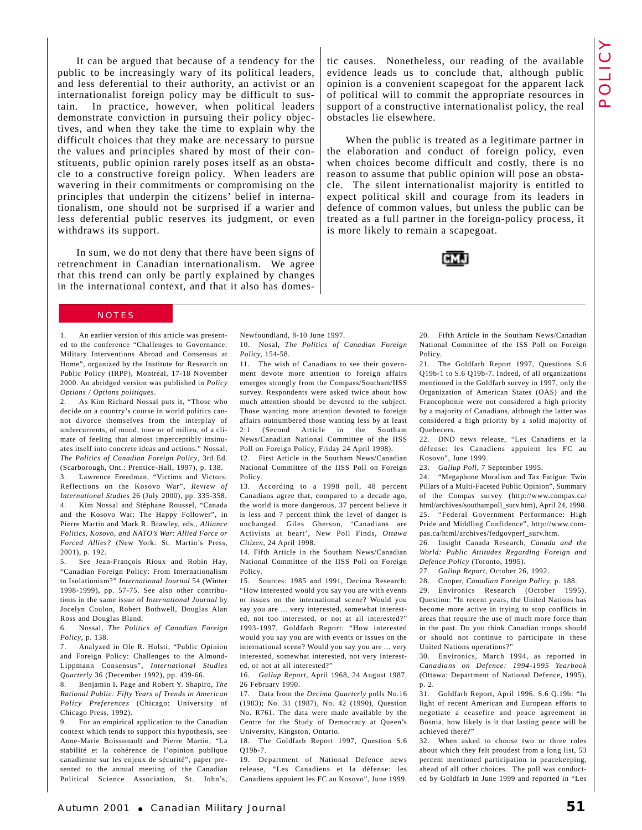tic causes. Nonetheless, our reading of the available evidence leads us to conclude that, although public opinion is a convenient scapegoat for the apparent lack of political will to commit the appropriate resources in support of a constructive internationalist policy, the real POLICY

When the public is treated as a legitimate partner in the elaboration and conduct of foreign policy, even when choices become difficult and costly, there is no reason to assume that public opinion will pose an obstacle. The silent internationalist majority is entitled to expect political skill and courage from its leaders in defence of common values, but unless the public can be treated as a full partner in the foreign-policy process, it is more likely to remain a scapegoat.

obstacles lie elsewhere.

It can be argued that because of a tendency for the public to be increasingly wary of its political leaders, and less deferential to their authority, an activist or an internationalist foreign policy may be difficult to sustain. In practice, however, when political leaders demonstrate conviction in pursuing their policy objectives, and when they take the time to explain why the difficult choices that they make are necessary to pursue the values and principles shared by most of their constituents, public opinion rarely poses itself as an obstacle to a constructive foreign policy. When leaders are wavering in their commitments or compromising on the principles that underpin the citizens' belief in internationalism, one should not be surprised if a warier and less deferential public reserves its judgment, or even withdraws its support.

In sum, we do not deny that there have been signs of retrenchment in Canadian internationalism. We agree that this trend can only be partly explained by changes in the international context, and that it also has domes-

#### NOTES

1. An earlier version of this article was presented to the conference "Challenges to Governance: Military Interventions Abroad and Consensus at Home", organized by the Institute for Research on Public Policy (IRPP), Montréal, 17-18 November 2000. An abridged version was published in *Policy Options / Options politiques*.

2. As Kim Richard Nossal puts it, "Those who decide on a country's course in world politics cannot divorce themselves from the interplay of undercurrents, of mood, tone or of milieu, of a climate of feeling that almost imperceptibly insinuates itself into concrete ideas and actions." Nossal, *The Politics of Canadian Foreign Policy*, 3rd Ed. (Scarborough, Ont.: Prentice-Hall, 1997), p. 138. 3. Lawrence Freedman, "Victims and Victors: Reflections on the Kosovo War", *Review of International Studies* 26 (July 2000), pp. 335-358. 4. Kim Nossal and Stéphane Roussel, "Canada and the Kosovo War: The Happy Follower", in Pierre Martin and Mark R. Brawley, eds., *Alliance Politics, Kosovo, and NATO's War*: *Allied Force or Forced Allies?* (New York: St. Martin's Press,

2001), p. 192. 5. See Jean-François Rioux and Robin Hay, "Canadian Foreign Policy: From Internationalism to Isolationism?" *International Journal* 54 (Winter 1998-1999), pp. 57-75. See also other contributions in the same issue of *International Journal* by Jocelyn Coulon, Robert Bothwell, Douglas Alan Ross and Douglas Bland.

6. Nossal, *The Politics of Canadian Foreign Policy*, p. 138.

7. Analyzed in Ole R. Holsti, "Public Opinion and Foreign Policy: Challenges to the Almond-Lippmann Consensus", *International Studies Quarterly* 36 (December 1992), pp. 439-66.

8. Benjamin I. Page and Robert Y. Shapiro, *The Rational Public: Fifty Years of Trends in American Policy Preferences* (Chicago: University of Chicago Press, 1992).

9. For an empirical application to the Canadian context which tends to support this hypothesis, see Anne-Marie Boissonault and Pierre Martin, "La stabilité et la cohérence de l'opinion publique canadienne sur les enjeux de sécurité", paper presented to the annual meeting of the Canadian Political Science Association, St. John's,

Newfoundland, 8-10 June 1997.

10. Nosal, *The Politics of Canadian Foreign Policy,* 154-58.

11. The wish of Canadians to see their government devote more attention to foreign affairs emerges strongly from the Compass/Southam/IISS survey. Respondents were asked twice about how much attention should be devoted to the subject. Those wanting more attention devoted to foreign affairs outnumbered those wanting less by at least 2:1 (Second Article in the Southam News/Canadian National Committee of the IISS Poll on Foreign Policy, Friday 24 April 1998).

12. First Article in the Southam News/Canadian National Committee of the IISS Poll on Foreign Policy.

13. According to a 1998 poll, 48 percent Canadians agree that, compared to a decade ago, the world is more dangerous, 37 percent believe it is less and 7 percent think the level of danger is unchanged. Giles Gherson, 'Canadians are Activists at heart', New Poll Finds, *Ottawa Citizen*, 24 April 1998.

14. Fifth Article in the Southam News/Canadian National Committee of the IISS Poll on Foreign Policy.

15. Sources: 1985 and 1991, Decima Research: "How interested would you say you are with events or issues on the international scene? Would you say you are ... very interested, somewhat interested, not too interested, or not at all interested?" 1993-1997, Goldfarb Report: "How interested would you say you are with events or issues on the international scene? Would you say you are ... very interested, somewhat interested, not very interested, or not at all interested?"

16. *Gallup Report*, April 1968, 24 August 1987, 26 February 1990.

17. Data from the *Decima Quarterly* polls No.16 (1983); No. 31 (1987), No. 42 (1990), Question No. R761. The data were made available by the Centre for the Study of Democracy at Queen's University, Kingston, Ontario.

18. The Goldfarb Report 1997, Question S.6 Q19b-7.

19. Department of National Defence news release, "Les Canadiens et la défense: les Canadiens appuient les FC au Kosovo", June 1999.

20. Fifth Article in the Southam News/Canadian National Committee of the ISS Poll on Foreign Policy.

21. The Goldfarb Report 1997, Questions S.6 Q19b-1 to S.6 Q19b-7. Indeed, of all organizations mentioned in the Goldfarb survey in 1997, only the Organization of American States (OAS) and the Francophonie were not considered a high priority by a majority of Canadians, although the latter was considered a high priority by a solid majority of Quebecers.

22. DND news release, "Les Canadiens et la défense: les Canadiens appuient les FC au Kosovo", June 1999.

23. *Gallup Poll*, 7 September 1995.

24. "Megaphone Moralism and Tax Fatigue: Twin Pillars of a Multi-Faceted Public Opinion", Summary of the Compas survey (http://www.compas.ca/ html/archives/southampoll\_surv.htm), April 24, 1998. 25. "Federal Government Performance: High Pride and Middling Confidence", http://www.compas.ca/html/archives/fedgovperf\_surv.htm.

26. Insight Canada Research, *Canada and the World: Public Attitudes Regarding Foreign and Defence Policy* (Toronto, 1995).

27. *Gallup Report,* October 26, 1992.

28. Cooper, *Canadian Foreign Policy*, p. 188.

29. Environics Research (October 1995). Question: "In recent years, the United Nations has become more active in trying to stop conflicts in areas that require the use of much more force than in the past. Do you think Canadian troops should or should not continue to participate in these United Nations operations?"

30. Environics, March 1994, as reported in *Canadians on Defence: 1994-1995 Yearbook* (Ottawa: Department of National Defence, 1995), p. 2.

31. Goldfarb Report, April 1996. S.6 Q.19b: "In light of recent American and European efforts to negotiate a ceasefire and peace agreement in Bosnia, how likely is it that lasting peace will be achieved there?"

32. When asked to choose two or three roles about which they felt proudest from a long list, 53 percent mentioned participation in peacekeeping, ahead of all other choices. The poll was conducted by Goldfarb in June 1999 and reported in "Les